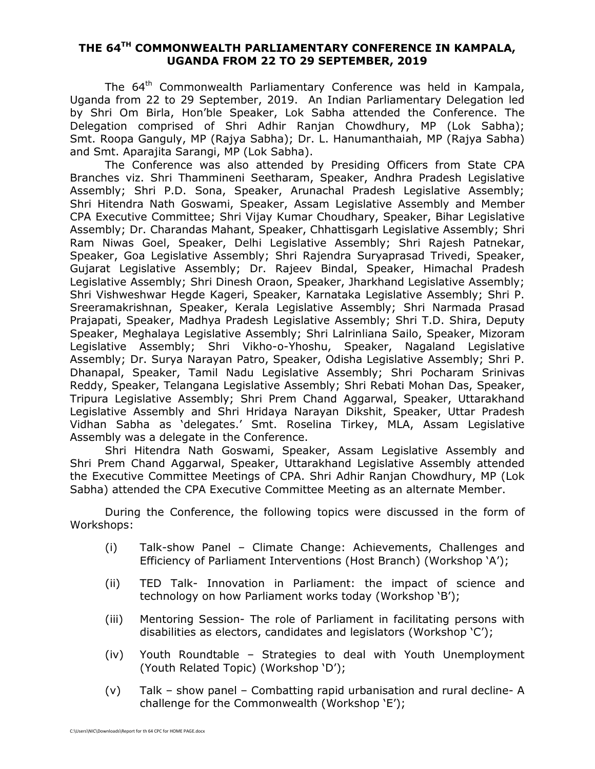## **THE 64TH COMMONWEALTH PARLIAMENTARY CONFERENCE IN KAMPALA, UGANDA FROM 22 TO 29 SEPTEMBER, 2019**

The 64<sup>th</sup> Commonwealth Parliamentary Conference was held in Kampala, Uganda from 22 to 29 September, 2019. An Indian Parliamentary Delegation led by Shri Om Birla, Hon'ble Speaker, Lok Sabha attended the Conference. The Delegation comprised of Shri Adhir Ranjan Chowdhury, MP (Lok Sabha); Smt. Roopa Ganguly, MP (Rajya Sabha); Dr. L. Hanumanthaiah, MP (Rajya Sabha) and Smt. Aparajita Sarangi, MP (Lok Sabha).

The Conference was also attended by Presiding Officers from State CPA Branches viz. Shri Thammineni Seetharam, Speaker, Andhra Pradesh Legislative Assembly; Shri P.D. Sona, Speaker, Arunachal Pradesh Legislative Assembly; Shri Hitendra Nath Goswami, Speaker, Assam Legislative Assembly and Member CPA Executive Committee; Shri Vijay Kumar Choudhary, Speaker, Bihar Legislative Assembly; Dr. Charandas Mahant, Speaker, Chhattisgarh Legislative Assembly; Shri Ram Niwas Goel, Speaker, Delhi Legislative Assembly; Shri Rajesh Patnekar, Speaker, Goa Legislative Assembly; Shri Rajendra Suryaprasad Trivedi, Speaker, Gujarat Legislative Assembly; Dr. Rajeev Bindal, Speaker, Himachal Pradesh Legislative Assembly; Shri Dinesh Oraon, Speaker, Jharkhand Legislative Assembly; Shri Vishweshwar Hegde Kageri, Speaker, Karnataka Legislative Assembly; Shri P. Sreeramakrishnan, Speaker, Kerala Legislative Assembly; Shri Narmada Prasad Prajapati, Speaker, Madhya Pradesh Legislative Assembly; Shri T.D. Shira, Deputy Speaker, Meghalaya Legislative Assembly; Shri Lalrinliana Sailo, Speaker, Mizoram Legislative Assembly; Shri Vikho-o-Yhoshu, Speaker, Nagaland Legislative Assembly; Dr. Surya Narayan Patro, Speaker, Odisha Legislative Assembly; Shri P. Dhanapal, Speaker, Tamil Nadu Legislative Assembly; Shri Pocharam Srinivas Reddy, Speaker, Telangana Legislative Assembly; Shri Rebati Mohan Das, Speaker, Tripura Legislative Assembly; Shri Prem Chand Aggarwal, Speaker, Uttarakhand Legislative Assembly and Shri Hridaya Narayan Dikshit, Speaker, Uttar Pradesh Vidhan Sabha as 'delegates.' Smt. Roselina Tirkey, MLA, Assam Legislative Assembly was a delegate in the Conference.

Shri Hitendra Nath Goswami, Speaker, Assam Legislative Assembly and Shri Prem Chand Aggarwal, Speaker, Uttarakhand Legislative Assembly attended the Executive Committee Meetings of CPA. Shri Adhir Ranjan Chowdhury, MP (Lok Sabha) attended the CPA Executive Committee Meeting as an alternate Member.

During the Conference, the following topics were discussed in the form of Workshops:

- (i) Talk-show Panel Climate Change: Achievements, Challenges and Efficiency of Parliament Interventions (Host Branch) (Workshop 'A');
- (ii) TED Talk- Innovation in Parliament: the impact of science and technology on how Parliament works today (Workshop 'B');
- (iii) Mentoring Session- The role of Parliament in facilitating persons with disabilities as electors, candidates and legislators (Workshop 'C');
- (iv) Youth Roundtable Strategies to deal with Youth Unemployment (Youth Related Topic) (Workshop 'D');
- (v) Talk show panel Combatting rapid urbanisation and rural decline- A challenge for the Commonwealth (Workshop 'E');